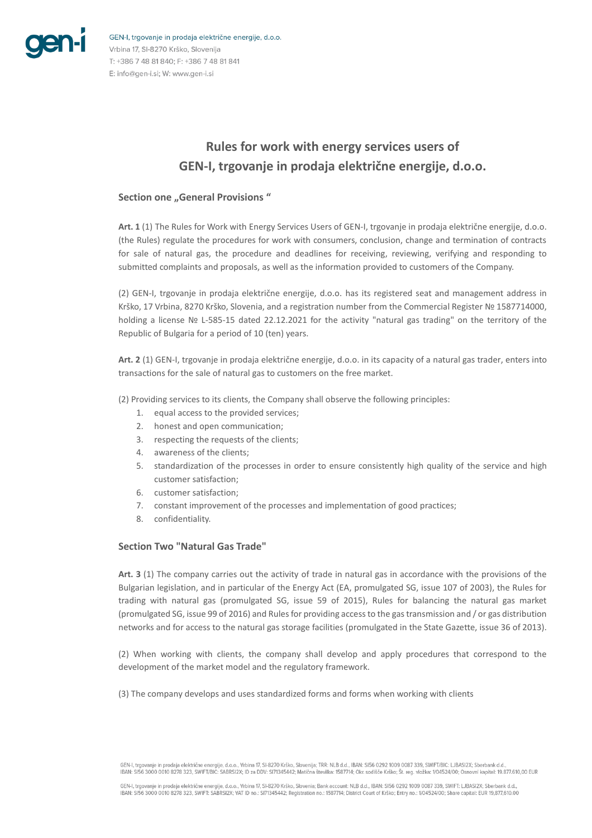

GEN-I, trgovanje in prodaja električne energije, d.o.o. Vrbina 17, SI-8270 Krško, Slovenija T: +386 7 48 81 840; F: +386 7 48 81 841 E: info@gen-i.si; W: www.gen-i.si

# **Rules for work with energy services users of GEN-I, trgovanje in prodaja električne energije, d.o.o.**

#### **Section one "General Provisions"**

**Art. 1** (1) The Rules for Work with Energy Services Users of GEN-I, trgovanje in prodaja električne energije, d.o.o. (the Rules) regulate the procedures for work with consumers, conclusion, change and termination of contracts for sale of natural gas, the procedure and deadlines for receiving, reviewing, verifying and responding to submitted complaints and proposals, as well as the information provided to customers of the Company.

(2) GEN-I, trgovanje in prodaja električne energije, d.o.o. has its registered seat and management address in Krško, 17 Vrbina, 8270 Krško, Slovenia, and a registration number from the Commercial Register № 1587714000, holding a license № L-585-15 dated 22.12.2021 for the activity "natural gas trading" on the territory of the Republic of Bulgaria for a period of 10 (ten) years.

**Art. 2** (1) GEN-I, trgovanje in prodaja električne energije, d.o.o. in its capacity of a natural gas trader, enters into transactions for the sale of natural gas to customers on the free market.

(2) Providing services to its clients, the Company shall observe the following principles:

- 1. equal access to the provided services;
- 2. honest and open communication;
- 3. respecting the requests of the clients;
- 4. awareness of the clients;
- 5. standardization of the processes in order to ensure consistently high quality of the service and high customer satisfaction;
- 6. customer satisfaction;
- 7. constant improvement of the processes and implementation of good practices;
- 8. confidentiality.

#### **Section Two "Natural Gas Trade"**

**Art. 3** (1) The company carries out the activity of trade in natural gas in accordance with the provisions of the Bulgarian legislation, and in particular of the Energy Act (EA, promulgated SG, issue 107 of 2003), the Rules for trading with natural gas (promulgated SG, issue 59 of 2015), Rules for balancing the natural gas market (promulgated SG, issue 99 of 2016) and Rules for providing access to the gas transmission and / or gas distribution networks and for access to the natural gas storage facilities (promulgated in the State Gazette, issue 36 of 2013).

(2) When working with clients, the company shall develop and apply procedures that correspond to the development of the market model and the regulatory framework.

(3) The company develops and uses standardized forms and forms when working with clients

GEN-I, trgovanje in prodaja električne energije, d.o.o., Vrbina 17, SI-8270 Krško, Slovenija; TRR: NLB d.d., IBAN: SI56 0292 1009 0087 339, SWIFT/BIC: LJBASI2X; Sberbank d.d.,<br>IBAN: SI56 3000 0010 8278 323, SWIFT/BIC: SABR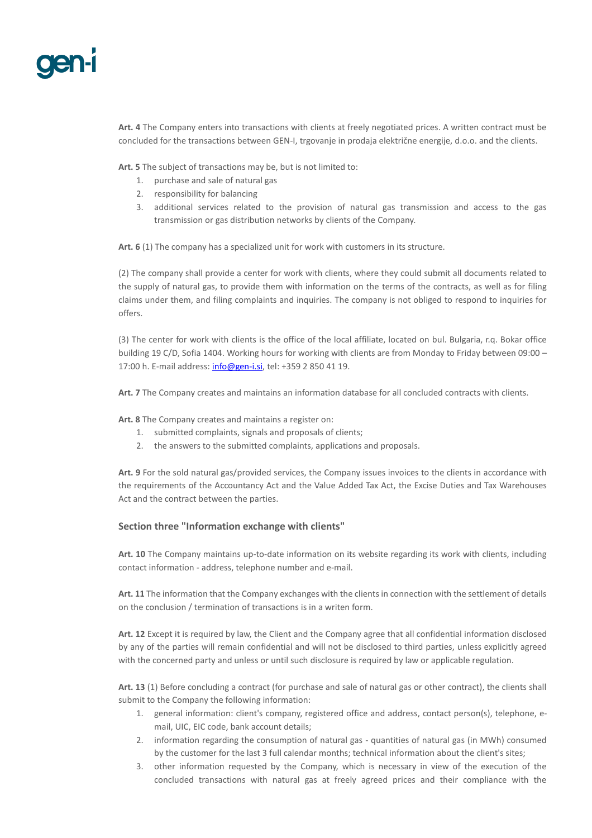**Art. 4** The Company enters into transactions with clients at freely negotiated prices. A written contract must be concluded for the transactions between GEN-I, trgovanje in prodaja električne energije, d.o.o. and the clients.

**Art. 5** The subject of transactions may be, but is not limited to:

- 1. purchase and sale of natural gas
- 2. responsibility for balancing
- 3. additional services related to the provision of natural gas transmission and access to the gas transmission or gas distribution networks by clients of the Company.

**Art. 6** (1) The company has a specialized unit for work with customers in its structure.

(2) The company shall provide a center for work with clients, where they could submit all documents related to the supply of natural gas, to provide them with information on the terms of the contracts, as well as for filing claims under them, and filing complaints and inquiries. The company is not obliged to respond to inquiries for offers.

(3) The center for work with clients is the office of the local affiliate, located on bul. Bulgaria, r.q. Bokar office building 19 C/D, Sofia 1404. Working hours for working with clients are from Monday to Friday between 09:00 – 17:00 h. E-mail address[: info@gen-i.si,](mailto:info@gen-i.si) tel: +359 2 850 41 19.

**Art. 7** The Company creates and maintains an information database for all concluded contracts with clients.

**Art. 8** The Company creates and maintains a register on:

- 1. submitted complaints, signals and proposals of clients;
- 2. the answers to the submitted complaints, applications and proposals.

**Art. 9** For the sold natural gas/provided services, the Company issues invoices to the clients in accordance with the requirements of the Accountancy Act and the Value Added Tax Act, the Excise Duties and Tax Warehouses Act and the contract between the parties.

#### **Section three "Information exchange with clients"**

**Art. 10** The Company maintains up-to-date information on its website regarding its work with clients, including contact information - address, telephone number and e-mail.

**Art. 11** The information that the Company exchanges with the clients in connection with the settlement of details on the conclusion / termination of transactions is in a writen form.

**Art. 12** Except it is required by law, the Client and the Company agree that all confidential information disclosed by any of the parties will remain confidential and will not be disclosed to third parties, unless explicitly agreed with the concerned party and unless or until such disclosure is required by law or applicable regulation.

**Art. 13** (1) Before concluding a contract (for purchase and sale of natural gas or other contract), the clients shall submit to the Company the following information:

- 1. general information: client's company, registered office and address, contact person(s), telephone, email, UIC, EIC code, bank account details;
- 2. information regarding the consumption of natural gas quantities of natural gas (in MWh) consumed by the customer for the last 3 full calendar months; technical information about the client's sites;
- 3. other information requested by the Company, which is necessary in view of the execution of the concluded transactions with natural gas at freely agreed prices and their compliance with the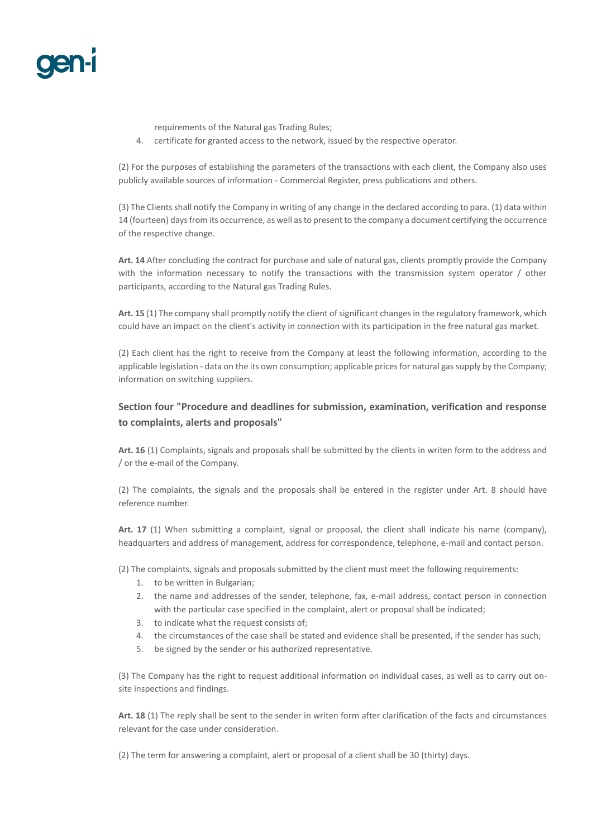

requirements of the Natural gas Trading Rules;

4. certificate for granted access to the network, issued by the respective operator.

(2) For the purposes of establishing the parameters of the transactions with each client, the Company also uses publicly available sources of information - Commercial Register, press publications and others.

(3) The Clients shall notify the Company in writing of any change in the declared according to para. (1) data within 14 (fourteen) days from its occurrence, as well as to present to the company a document certifying the occurrence of the respective change.

**Art. 14** After concluding the contract for purchase and sale of natural gas, clients promptly provide the Company with the information necessary to notify the transactions with the transmission system operator / other participants, according to the Natural gas Trading Rules.

**Art. 15** (1) The company shall promptly notify the client of significant changes in the regulatory framework, which could have an impact on the client's activity in connection with its participation in the free natural gas market.

(2) Each client has the right to receive from the Company at least the following information, according to the applicable legislation - data on the its own consumption; applicable prices for natural gas supply by the Company; information on switching suppliers.

## **Section four "Procedure and deadlines for submission, examination, verification and response to complaints, alerts and proposals"**

**Art. 16** (1) Complaints, signals and proposals shall be submitted by the clients in writen form to the address and / or the e-mail of the Company.

(2) The complaints, the signals and the proposals shall be entered in the register under Art. 8 should have reference number.

**Art. 17** (1) When submitting a complaint, signal or proposal, the client shall indicate his name (company), headquarters and address of management, address for correspondence, telephone, e-mail and contact person.

(2) The complaints, signals and proposals submitted by the client must meet the following requirements:

- 1. to be written in Bulgarian;
- 2. the name and addresses of the sender, telephone, fax, e-mail address, contact person in connection with the particular case specified in the complaint, alert or proposal shall be indicated;
- 3. to indicate what the request consists of;
- 4. the circumstances of the case shall be stated and evidence shall be presented, if the sender has such;
- 5. be signed by the sender or his authorized representative.

(3) The Company has the right to request additional information on individual cases, as well as to carry out onsite inspections and findings.

**Art. 18** (1) The reply shall be sent to the sender in writen form after clarification of the facts and circumstances relevant for the case under consideration.

(2) The term for answering a complaint, alert or proposal of a client shall be 30 (thirty) days.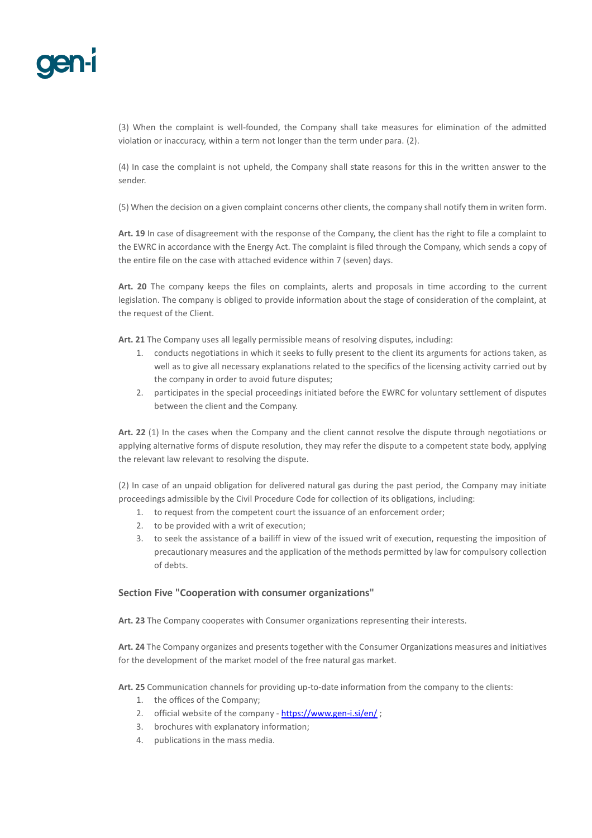

(3) When the complaint is well-founded, the Company shall take measures for elimination of the admitted violation or inaccuracy, within a term not longer than the term under para. (2).

(4) In case the complaint is not upheld, the Company shall state reasons for this in the written answer to the sender.

(5) When the decision on a given complaint concerns other clients, the company shall notify them in writen form.

**Art. 19** In case of disagreement with the response of the Company, the client has the right to file a complaint to the EWRC in accordance with the Energy Act. The complaint is filed through the Company, which sends a copy of the entire file on the case with attached evidence within 7 (seven) days.

**Art. 20** The company keeps the files on complaints, alerts and proposals in time according to the current legislation. The company is obliged to provide information about the stage of consideration of the complaint, at the request of the Client.

**Art. 21** The Company uses all legally permissible means of resolving disputes, including:

- 1. conducts negotiations in which it seeks to fully present to the client its arguments for actions taken, as well as to give all necessary explanations related to the specifics of the licensing activity carried out by the company in order to avoid future disputes;
- 2. participates in the special proceedings initiated before the EWRC for voluntary settlement of disputes between the client and the Company.

**Art. 22** (1) In the cases when the Company and the client cannot resolve the dispute through negotiations or applying alternative forms of dispute resolution, they may refer the dispute to a competent state body, applying the relevant law relevant to resolving the dispute.

(2) In case of an unpaid obligation for delivered natural gas during the past period, the Company may initiate proceedings admissible by the Civil Procedure Code for collection of its obligations, including:

- 1. to request from the competent court the issuance of an enforcement order;
- 2. to be provided with a writ of execution;
- 3. to seek the assistance of a bailiff in view of the issued writ of execution, requesting the imposition of precautionary measures and the application of the methods permitted by law for compulsory collection of debts.

#### **Section Five "Cooperation with consumer organizations"**

**Art. 23** The Company cooperates with Consumer organizations representing their interests.

**Art. 24** The Company organizes and presents together with the Consumer Organizations measures and initiatives for the development of the market model of the free natural gas market.

**Art. 25** Communication channels for providing up-to-date information from the company to the clients:

- 1. the offices of the Company;
- 2. official website of the company <https://www.gen-i.si/en/>;
- 3. brochures with explanatory information;
- 4. publications in the mass media.